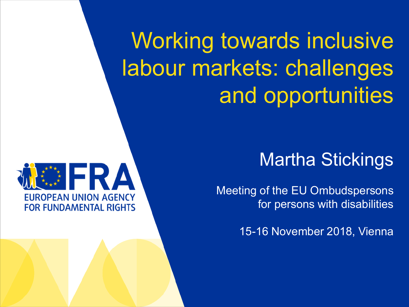Working towards inclusive labour markets: challenges and opportunities



Meeting of the EU Ombudspersons for persons with disabilities

15-16 November 2018, Vienna

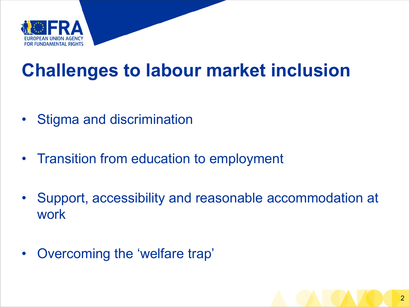

# **Challenges to labour market inclusion**

- Stigma and discrimination
- Transition from education to employment
- Support, accessibility and reasonable accommodation at work
- Overcoming the 'welfare trap'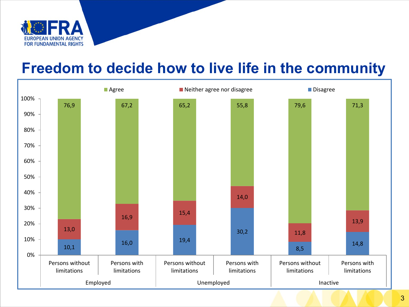

#### **Freedom to decide how to live life in the community**

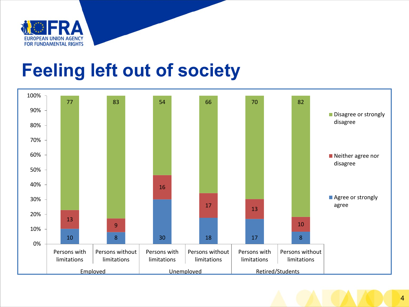

#### **Feeling left out of society**

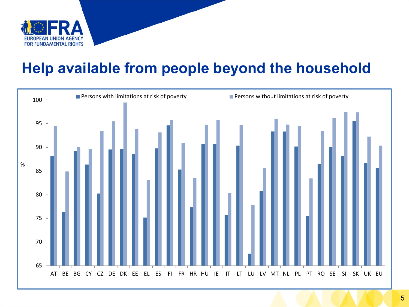

#### **Help available from people beyond the household**

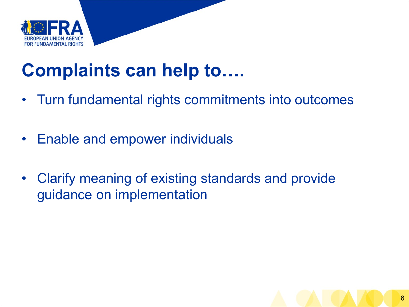

# **Complaints can help to….**

- Turn fundamental rights commitments into outcomes
- Enable and empower individuals
- Clarify meaning of existing standards and provide guidance on implementation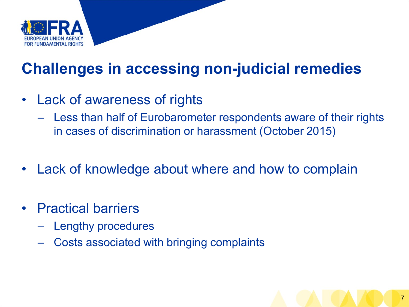

#### **Challenges in accessing non-judicial remedies**

- Lack of awareness of rights
	- Less than half of Eurobarometer respondents aware of their rights in cases of discrimination or harassment (October 2015)
- Lack of knowledge about where and how to complain
- Practical barriers
	- Lengthy procedures
	- Costs associated with bringing complaints

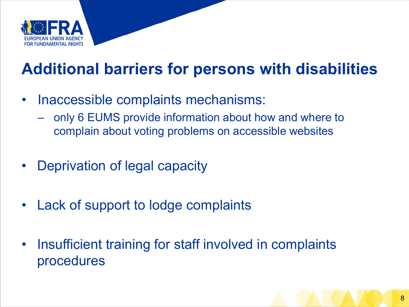

#### **Additional barriers for persons with disabilities**

- Inaccessible complaints mechanisms:
	- only 6 EUMS provide information about how and where to complain about voting problems on accessible websites
- Deprivation of legal capacity
- Lack of support to lodge complaints
- Insufficient training for staff involved in complaints procedures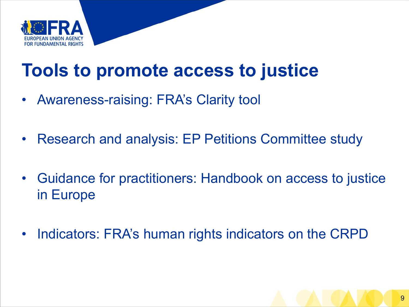

### **Tools to promote access to justice**

- Awareness-raising: FRA's Clarity tool
- Research and analysis: EP Petitions Committee study
- Guidance for practitioners: Handbook on access to justice in Europe
- Indicators: FRA's human rights indicators on the CRPD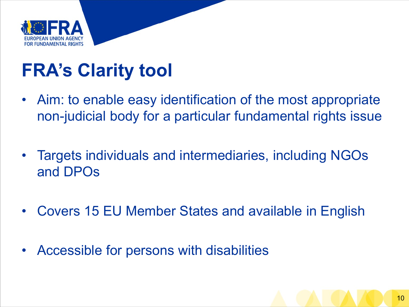

# **FRA's Clarity tool**

- Aim: to enable easy identification of the most appropriate non-judicial body for a particular fundamental rights issue
- Targets individuals and intermediaries, including NGOs and DPOs
- Covers 15 EU Member States and available in English
- Accessible for persons with disabilities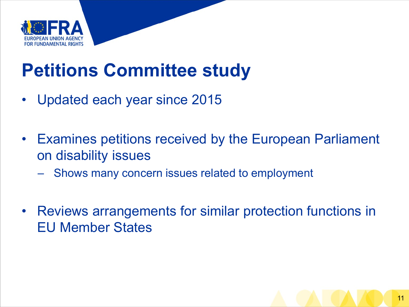

# **Petitions Committee study**

- Updated each year since 2015
- Examines petitions received by the European Parliament on disability issues
	- Shows many concern issues related to employment
- Reviews arrangements for similar protection functions in EU Member States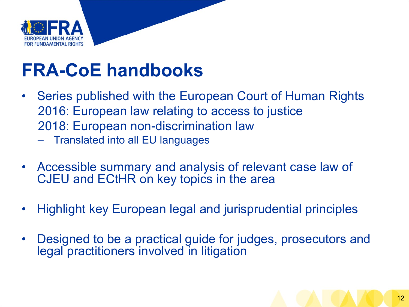

# **FRA-CoE handbooks**

- Series published with the European Court of Human Rights 2016: European law relating to access to justice 2018: European non-discrimination law
	- Translated into all EU languages
- Accessible summary and analysis of relevant case law of CJEU and ECtHR on key topics in the area
- Highlight key European legal and jurisprudential principles
- Designed to be a practical guide for judges, prosecutors and legal practitioners involved in litigation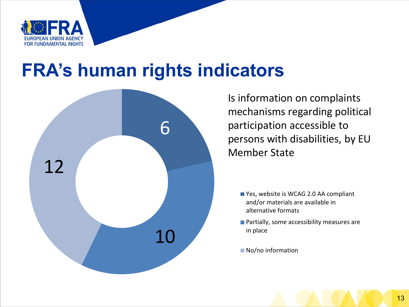

#### **FRA's human rights indicators**



Is information on complaints mechanisms regarding political participation accessible to persons with disabilities, by EU Member State

- Yes, website is WCAG 2.0 AA compliant and/or materials are available in alternative formats
- **Partially, some accessibility measures are** in place
- No/no information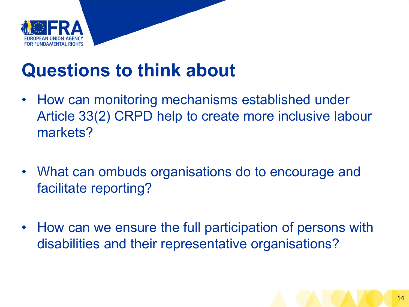

# **Questions to think about**

- How can monitoring mechanisms established under Article 33(2) CRPD help to create more inclusive labour markets?
- What can ombuds organisations do to encourage and facilitate reporting?
- How can we ensure the full participation of persons with disabilities and their representative organisations?